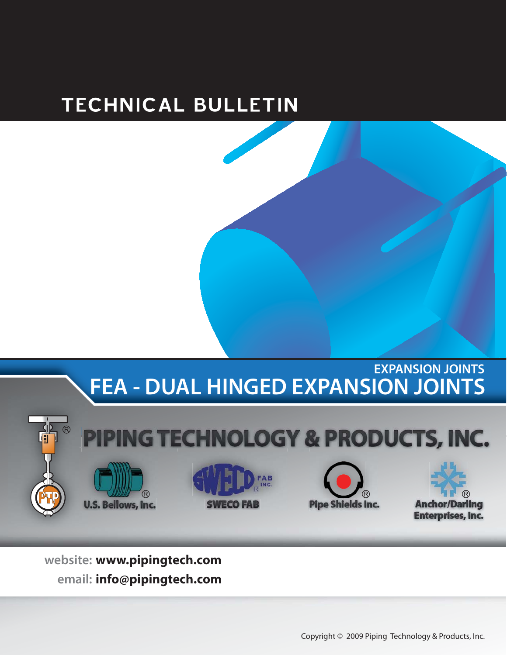# TECHNICAL BULLETIN

## **EXPANSION JOINTS FEA - DUAL HINGED EXPANSION JOINTS**



**www.pipingtech.com info@pipingtech.com** website: www.pipingtech.com **email:**

Copyright © 2009 Piping Technology & Products, Inc.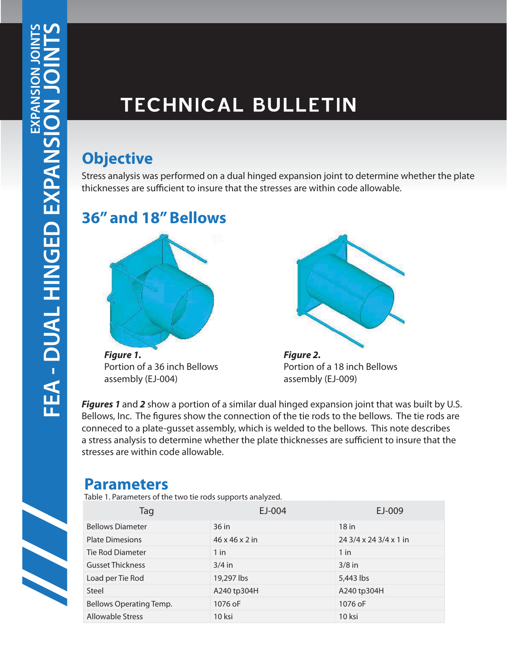# TECHNICAL BULLETIN

Stress analysis was performed on a dual hinged expansion joint to determine whether the plate thicknesses are sufficient to insure that the stresses are within code allowable.

### **36" and 18" Bellows**



*Figure 1.* Portion of a 36 inch Bellows assembly (EJ-004)



*Figure 2.* Portion of a 18 inch Bellows assembly (EJ-009)

*Figures 1* and 2 show a portion of a similar dual hinged expansion joint that was built by U.S. Bellows, Inc. The figures show the connection of the tie rods to the bellows. The tie rods are conneced to a plate-gusset assembly, which is welded to the bellows. This note describes a stress analysis to determine whether the plate thicknesses are sufficient to insure that the stresses are within code allowable.

#### **Parameters**

Table 1. Parameters of the two tie rods supports analyzed.

| Tag                     | EJ-004                     | EJ-009                 |
|-------------------------|----------------------------|------------------------|
| <b>Bellows Diameter</b> | 36 in                      | $18$ in                |
| <b>Plate Dimesions</b>  | $46 \times 46 \times 2$ in | 24 3/4 x 24 3/4 x 1 in |
| Tie Rod Diameter        | $1$ in                     | $1$ in                 |
| <b>Gusset Thickness</b> | $3/4$ in                   | $3/8$ in               |
| Load per Tie Rod        | 19,297 lbs                 | 5,443 lbs              |
| Steel                   | A240 tp304H                | A240 tp304H            |
| Bellows Operating Temp. | 1076 oF                    | 1076 oF                |
| <b>Allowable Stress</b> | 10 ksi                     | 10 ksi                 |

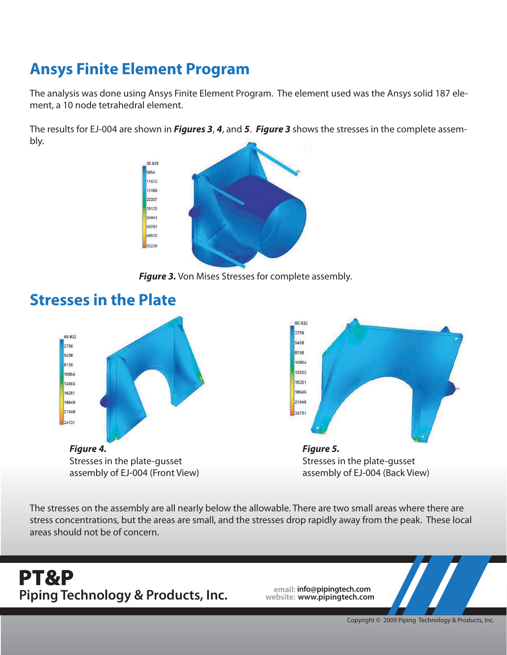## **Ansys Finite Element Program**

The analysis was done using Ansys Finite Element Program. The element used was the Ansys solid 187 element, a 10 node tetrahedral element.

The results for EJ-004 are shown in *Figures 3*, *4*, and *5*. *Figure 3* shows the stresses in the complete assembly.



**Figure 3.** Von Mises Stresses for complete assembly.



The stresses on the assembly are all nearly below the allowable. There are two small areas where there are stress concentrations, but the areas are small, and the stresses drop rapidly away from the peak. These local areas should not be of concern.

# **email: info@pipingtech.com Piping Technology & Products, Inc. website: www.pipingtech.com PT&P**

Copyright © 2009 Piping Technology & Products, Inc.